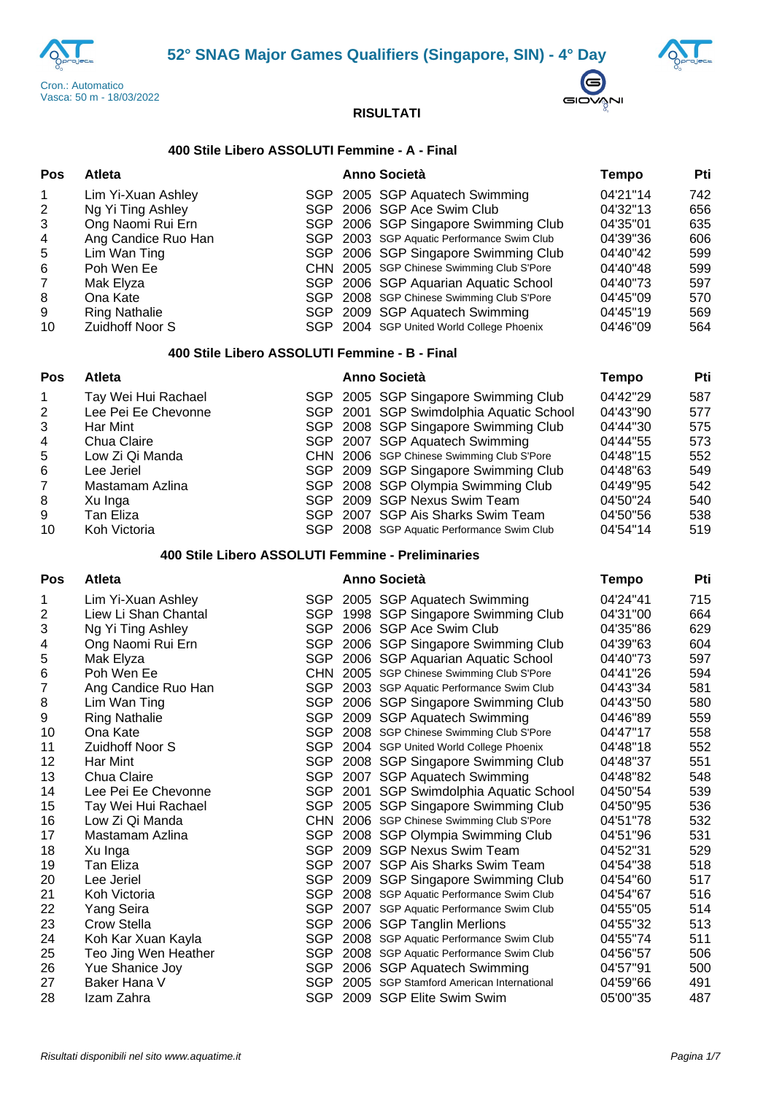





# **400 Stile Libero ASSOLUTI Femmine - A - Final**

| <b>Pos</b>     | Atleta                                            |  | Anno Società                               | Tempo        | Pti |
|----------------|---------------------------------------------------|--|--------------------------------------------|--------------|-----|
| 1              | Lim Yi-Xuan Ashley                                |  | SGP 2005 SGP Aquatech Swimming             | 04'21"14     | 742 |
| 2              | Ng Yi Ting Ashley                                 |  | SGP 2006 SGP Ace Swim Club                 | 04'32"13     | 656 |
| 3              | Ong Naomi Rui Ern                                 |  | SGP 2006 SGP Singapore Swimming Club       | 04'35"01     | 635 |
| 4              | Ang Candice Ruo Han                               |  | SGP 2003 SGP Aquatic Performance Swim Club | 04'39"36     | 606 |
| 5              | Lim Wan Ting                                      |  | SGP 2006 SGP Singapore Swimming Club       | 04'40"42     | 599 |
| 6              | Poh Wen Ee                                        |  | CHN 2005 SGP Chinese Swimming Club S'Pore  | 04'40"48     | 599 |
| $\overline{7}$ | Mak Elyza                                         |  | SGP 2006 SGP Aquarian Aquatic School       | 04'40"73     | 597 |
| 8              | Ona Kate                                          |  | SGP 2008 SGP Chinese Swimming Club S'Pore  | 04'45"09     | 570 |
| 9              | <b>Ring Nathalie</b>                              |  | SGP 2009 SGP Aquatech Swimming             | 04'45"19     | 569 |
| 10             | Zuidhoff Noor S                                   |  | SGP 2004 SGP United World College Phoenix  | 04'46"09     | 564 |
|                | 400 Stile Libero ASSOLUTI Femmine - B - Final     |  |                                            |              |     |
| <b>Pos</b>     | Atleta                                            |  | Anno Società                               | <b>Tempo</b> | Pti |
|                | Tay Wei Hui Rachael                               |  | SGP 2005 SGP Singapore Swimming Club       | 04'42"29     | 587 |
| $\overline{c}$ | Lee Pei Ee Chevonne                               |  | SGP 2001 SGP Swimdolphia Aquatic School    | 04'43"90     | 577 |
| 3              | Har Mint                                          |  | SGP 2008 SGP Singapore Swimming Club       | 04'44"30     | 575 |
| 4              | Chua Claire                                       |  | SGP 2007 SGP Aquatech Swimming             | 04'44"55     | 573 |
| 5              | Low Zi Qi Manda                                   |  | CHN 2006 SGP Chinese Swimming Club S'Pore  | 04'48"15     | 552 |
| 6              | Lee Jeriel                                        |  | SGP 2009 SGP Singapore Swimming Club       | 04'48"63     | 549 |
| 7              | Mastamam Azlina                                   |  | SGP 2008 SGP Olympia Swimming Club         | 04'49"95     | 542 |
| 8              | Xu Inga                                           |  | SGP 2009 SGP Nexus Swim Team               | 04'50"24     | 540 |
| 9              | Tan Eliza                                         |  | SGP 2007 SGP Ais Sharks Swim Team          | 04'50"56     | 538 |
| 10             | Koh Victoria                                      |  | SGP 2008 SGP Aquatic Performance Swim Club | 04'54"14     | 519 |
|                | 400 Stile Libero ASSOLUTI Femmine - Preliminaries |  |                                            |              |     |
| <b>Pos</b>     | Atleta                                            |  | Anno Società                               | <b>Tempo</b> | Pti |
| 1              | Lim Yi-Xuan Ashley                                |  | SGP 2005 SGP Aquatech Swimming             | 04'24"41     | 715 |

| 1              | Lim Yi-Xuan Ashley   |            | SGP 2005 SGP Aquatech Swimming           | 04'24"41 | 715 |
|----------------|----------------------|------------|------------------------------------------|----------|-----|
| $\overline{2}$ | Liew Li Shan Chantal | <b>SGP</b> | 1998 SGP Singapore Swimming Club         | 04'31"00 | 664 |
| 3              | Ng Yi Ting Ashley    | SGP        | 2006 SGP Ace Swim Club                   | 04'35"86 | 629 |
| 4              | Ong Naomi Rui Ern    | <b>SGP</b> | 2006 SGP Singapore Swimming Club         | 04'39"63 | 604 |
| 5              | Mak Elyza            | <b>SGP</b> | 2006 SGP Aquarian Aquatic School         | 04'40"73 | 597 |
| 6              | Poh Wen Ee           | CHN.       | 2005 SGP Chinese Swimming Club S'Pore    | 04'41"26 | 594 |
|                |                      |            |                                          |          |     |
| 7              | Ang Candice Ruo Han  | SGP        | 2003 SGP Aquatic Performance Swim Club   | 04'43"34 | 581 |
| 8              | Lim Wan Ting         | <b>SGP</b> | 2006 SGP Singapore Swimming Club         | 04'43"50 | 580 |
| 9              | <b>Ring Nathalie</b> | <b>SGP</b> | 2009 SGP Aquatech Swimming               | 04'46"89 | 559 |
| 10             | Ona Kate             | <b>SGP</b> | 2008 SGP Chinese Swimming Club S'Pore    | 04'47"17 | 558 |
| 11             | Zuidhoff Noor S      | <b>SGP</b> | 2004 SGP United World College Phoenix    | 04'48"18 | 552 |
| 12             | Har Mint             | <b>SGP</b> | 2008 SGP Singapore Swimming Club         | 04'48"37 | 551 |
| 13             | Chua Claire          | SGP        | 2007 SGP Aquatech Swimming               | 04'48"82 | 548 |
| 14             | Lee Pei Ee Chevonne  | <b>SGP</b> | 2001 SGP Swimdolphia Aquatic School      | 04'50"54 | 539 |
| 15             | Tay Wei Hui Rachael  | <b>SGP</b> | 2005 SGP Singapore Swimming Club         | 04'50"95 | 536 |
| 16             | Low Zi Qi Manda      | CHN        | 2006 SGP Chinese Swimming Club S'Pore    | 04'51"78 | 532 |
| 17             | Mastamam Azlina      | <b>SGP</b> | 2008 SGP Olympia Swimming Club           | 04'51"96 | 531 |
| 18             | Xu Inga              | <b>SGP</b> | 2009 SGP Nexus Swim Team                 | 04'52"31 | 529 |
| 19             | <b>Tan Eliza</b>     | <b>SGP</b> | 2007 SGP Ais Sharks Swim Team            | 04'54"38 | 518 |
| 20             | Lee Jeriel           | <b>SGP</b> | 2009 SGP Singapore Swimming Club         | 04'54"60 | 517 |
| 21             | Koh Victoria         | <b>SGP</b> | 2008 SGP Aquatic Performance Swim Club   | 04'54"67 | 516 |
| 22             | Yang Seira           | SGP        | 2007 SGP Aquatic Performance Swim Club   | 04'55"05 | 514 |
| 23             | Crow Stella          | <b>SGP</b> | 2006 SGP Tanglin Merlions                | 04'55"32 | 513 |
| 24             | Koh Kar Xuan Kayla   | SGP        | 2008 SGP Aquatic Performance Swim Club   | 04'55"74 | 511 |
| 25             | Teo Jing Wen Heather | SGP        | 2008 SGP Aquatic Performance Swim Club   | 04'56"57 | 506 |
| 26             | Yue Shanice Joy      | SGP        | 2006 SGP Aquatech Swimming               | 04'57"91 | 500 |
| 27             | Baker Hana V         | SGP        | 2005 SGP Stamford American International | 04'59"66 | 491 |
| 28             | Izam Zahra           | <b>SGP</b> | 2009 SGP Elite Swim Swim                 | 05'00"35 | 487 |
|                |                      |            |                                          |          |     |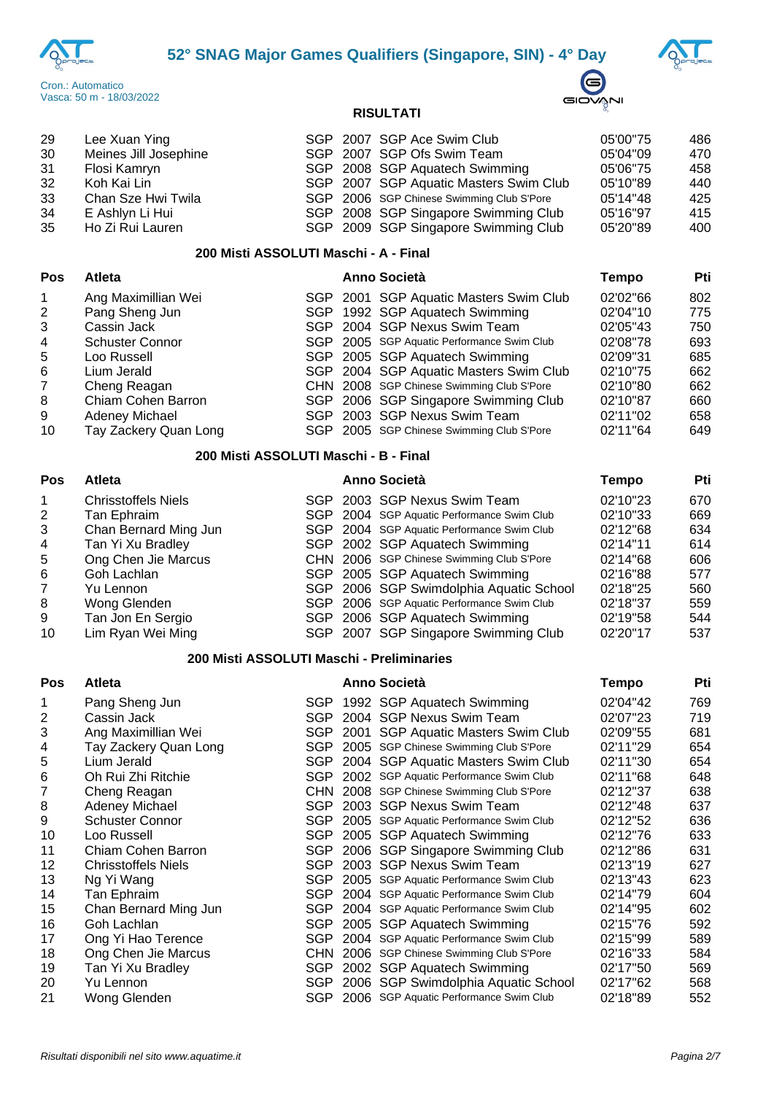





| 29                                    | Lee Xuan Ying         |  |  | SGP 2007 SGP Ace Swim Club                | 05'00"75 | 486 |  |  |  |
|---------------------------------------|-----------------------|--|--|-------------------------------------------|----------|-----|--|--|--|
| 30                                    | Meines Jill Josephine |  |  | SGP 2007 SGP Ofs Swim Team                | 05'04"09 | 470 |  |  |  |
| -31                                   | Flosi Kamryn          |  |  | SGP 2008 SGP Aquatech Swimming            | 05'06"75 | 458 |  |  |  |
| 32                                    | Koh Kai Lin           |  |  | SGP 2007 SGP Aquatic Masters Swim Club    | 05'10"89 | 440 |  |  |  |
| 33                                    | Chan Sze Hwi Twila    |  |  | SGP 2006 SGP Chinese Swimming Club S'Pore | 05'14"48 | 425 |  |  |  |
| 34                                    | E Ashlyn Li Hui       |  |  | SGP 2008 SGP Singapore Swimming Club      | 05'16"97 | 415 |  |  |  |
| 35                                    | Ho Zi Rui Lauren      |  |  | SGP 2009 SGP Singapore Swimming Club      | 05'20"89 | 400 |  |  |  |
| 200 Misti ASSOLUTI Maschi - A - Final |                       |  |  |                                           |          |     |  |  |  |

| Pos | Atleta                 |  | <b>Anno Società</b>                        | Tempo    | Pti |  |
|-----|------------------------|--|--------------------------------------------|----------|-----|--|
|     | Ang Maximillian Wei    |  | SGP 2001 SGP Aquatic Masters Swim Club     | 02'02"66 | 802 |  |
|     | Pang Sheng Jun         |  | SGP 1992 SGP Aquatech Swimming             | 02'04"10 | 775 |  |
| 3   | Cassin Jack            |  | SGP 2004 SGP Nexus Swim Team               | 02'05"43 | 750 |  |
| 4   | <b>Schuster Connor</b> |  | SGP 2005 SGP Aquatic Performance Swim Club | 02'08"78 | 693 |  |
| 5   | Loo Russell            |  | SGP 2005 SGP Aquatech Swimming             | 02'09"31 | 685 |  |
| 6   | Lium Jerald            |  | SGP 2004 SGP Aquatic Masters Swim Club     | 02'10"75 | 662 |  |
|     | Cheng Reagan           |  | CHN 2008 SGP Chinese Swimming Club S'Pore  | 02'10"80 | 662 |  |
| 8   | Chiam Cohen Barron     |  | SGP 2006 SGP Singapore Swimming Club       | 02'10"87 | 660 |  |
| 9   | Adeney Michael         |  | SGP 2003 SGP Nexus Swim Team               | 02'11"02 | 658 |  |
| 10  | Tay Zackery Quan Long  |  | SGP 2005 SGP Chinese Swimming Club S'Pore  | 02'11"64 | 649 |  |

#### **200 Misti ASSOLUTI Maschi - B - Final**

| <b>Pos</b>     | <b>Atleta</b>              |  |  | <b>Anno Società</b>                        | Tempo    | Pti |  |
|----------------|----------------------------|--|--|--------------------------------------------|----------|-----|--|
| $\overline{1}$ | <b>Chrisstoffels Niels</b> |  |  | SGP 2003 SGP Nexus Swim Team               | 02'10"23 | 670 |  |
| 2              | Tan Ephraim                |  |  | SGP 2004 SGP Aquatic Performance Swim Club | 02'10"33 | 669 |  |
| 3              | Chan Bernard Ming Jun      |  |  | SGP 2004 SGP Aquatic Performance Swim Club | 02'12"68 | 634 |  |
| $\overline{4}$ | Tan Yi Xu Bradley          |  |  | SGP 2002 SGP Aquatech Swimming             | 02'14"11 | 614 |  |
| 5              | Ong Chen Jie Marcus        |  |  | CHN 2006 SGP Chinese Swimming Club S'Pore  | 02'14"68 | 606 |  |
| 6              | Goh Lachlan                |  |  | SGP 2005 SGP Aquatech Swimming             | 02'16"88 | 577 |  |
| 7              | Yu Lennon                  |  |  | SGP 2006 SGP Swimdolphia Aquatic School    | 02'18"25 | 560 |  |
| 8              | Wong Glenden               |  |  | SGP 2006 SGP Aquatic Performance Swim Club | 02'18"37 | 559 |  |
| 9              | Tan Jon En Sergio          |  |  | SGP 2006 SGP Aquatech Swimming             | 02'19"58 | 544 |  |
| 10             | Lim Ryan Wei Ming          |  |  | SGP 2007 SGP Singapore Swimming Club       | 02'20"17 | 537 |  |

### **200 Misti ASSOLUTI Maschi - Preliminaries**

### **Pos Atleta Anno Società Tempo Pti** 1 Pang Sheng Jun SGP 1992 SGP Aquatech Swimming 02'04"42 769 Cassin Jack SGP 2004 SGP Nexus Swim Team 02'07''23 719 Ang Maximillian Wei SGP 2001 SGP Aquatic Masters Swim Club 02'09''55 681 4 Tay Zackery Quan Long SGP 2005 SGP Chinese Swimming Club S'Pore 02'11"29 654 Lium Jerald SGP 2004 SGP Aquatic Masters Swim Club 02'11''30 654 Oh Rui Zhi Ritchie SGP 2002 SGP Aquatic Performance Swim Club 02'11''68 648 7 Cheng Reagan CHN 2008 SGP Chinese Swimming Club S'Pore 02'12"37 638 Adeney Michael SGP 2003 SGP Nexus Swim Team 02'12''48 637 9 Schuster Connor SGP 2005 SGP Aquatic Performance Swim Club 02'12"52 636 10 Loo Russell **SGP 2005 SGP Aquatech Swimming** 02'12"76 633 Chiam Cohen Barron SGP 2006 SGP Singapore Swimming Club 02'12''86 631 Chrisstoffels Niels SGP 2003 SGP Nexus Swim Team 02'13''19 627 Ng Yi Wang SGP 2005 SGP Aquatic Performance Swim Club 02'13''43 623 14 Tan Ephraim **SGP 2004 SGP Aquatic Performance Swim Club** 02'14"79 Chan Bernard Ming Jun SGP 2004 SGP Aquatic Performance Swim Club 02'14''95 602 Goh Lachlan SGP 2005 SGP Aquatech Swimming 02'15''76 592 17 Ong Yi Hao Terence SGP 2004 SGP Aquatic Performance Swim Club 02'15"99 589 Ong Chen Jie Marcus CHN 2006 SGP Chinese Swimming Club S'Pore 02'16''33 584 19 Tan Yi Xu Bradley **SGP 2002 SGP Aquatech Swimming** 02'17"50 569 20 Yu Lennon SGP 2006 SGP Swimdolphia Aquatic School 02'17"62 568 21 Wong Glenden SGP 2006 SGP Aquatic Performance Swim Club 02'18"89 552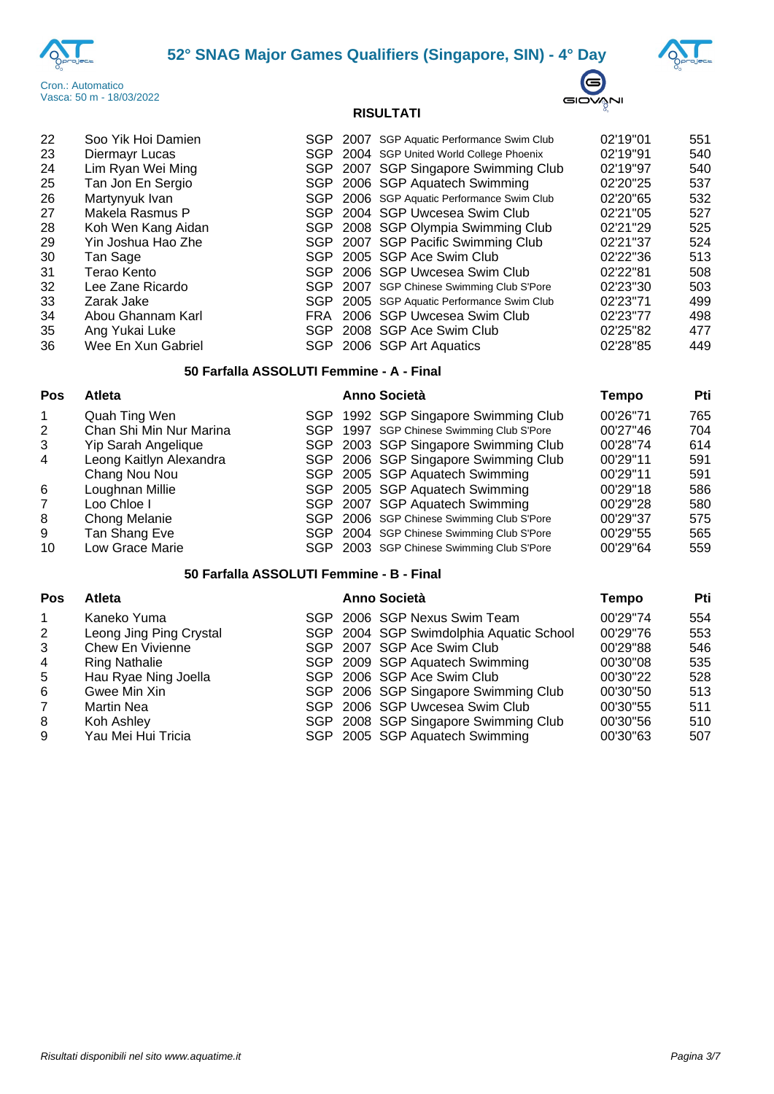





| 22 | Soo Yik Hoi Damien |      | SGP 2007 SGP Aquatic Performance Swim Club | 02'19"01 | 551 |
|----|--------------------|------|--------------------------------------------|----------|-----|
| 23 | Diermayr Lucas     |      | SGP 2004 SGP United World College Phoenix  | 02'19"91 | 540 |
| 24 | Lim Ryan Wei Ming  |      | SGP 2007 SGP Singapore Swimming Club       | 02'19"97 | 540 |
| 25 | Tan Jon En Sergio  |      | SGP 2006 SGP Aquatech Swimming             | 02'20"25 | 537 |
| 26 | Martynyuk Ivan     |      | SGP 2006 SGP Aquatic Performance Swim Club | 02'20"65 | 532 |
| 27 | Makela Rasmus P    |      | SGP 2004 SGP Uwcesea Swim Club             | 02'21"05 | 527 |
| 28 | Koh Wen Kang Aidan |      | SGP 2008 SGP Olympia Swimming Club         | 02'21"29 | 525 |
| 29 | Yin Joshua Hao Zhe |      | SGP 2007 SGP Pacific Swimming Club         | 02'21"37 | 524 |
| 30 | Tan Sage           |      | SGP 2005 SGP Ace Swim Club                 | 02'22"36 | 513 |
| 31 | Terao Kento        |      | SGP 2006 SGP Uwcesea Swim Club             | 02'22"81 | 508 |
| 32 | Lee Zane Ricardo   |      | SGP 2007 SGP Chinese Swimming Club S'Pore  | 02'23"30 | 503 |
| 33 | Zarak Jake         |      | SGP 2005 SGP Aquatic Performance Swim Club | 02'23"71 | 499 |
| 34 | Abou Ghannam Karl  | FRA. | 2006 SGP Uwcesea Swim Club                 | 02'23"77 | 498 |
| 35 | Ang Yukai Luke     |      | SGP 2008 SGP Ace Swim Club                 | 02'25"82 | 477 |
| 36 | Wee En Xun Gabriel |      | SGP 2006 SGP Art Aquatics                  | 02'28"85 | 449 |
|    |                    |      |                                            |          |     |

## **50 Farfalla ASSOLUTI Femmine - A - Final**

### **Pos Atleta Anno Società Tempo Pti** Quah Ting Wen SGP 1992 SGP Singapore Swimming Club 00'26''71 765 2 Chan Shi Min Nur Marina SGP 1997 SGP Chinese Swimming Club S<sup>p</sup>ore 00'27"46 704 Yip Sarah Angelique SGP 2003 SGP Singapore Swimming Club 00'28''74 614 4 Leong Kaitlyn Alexandra SGP 2006 SGP Singapore Swimming Club 00'29"11 591 Chang Nou Nou **Chang Nou Nou SGP 2005 SGP Aquatech Swimming** 00'29"11 591<br>Coughnan Millie **COD SGP 2005 SGP Aquatech Swimming** 00'29"18 586 Loughnan Millie SGP 2005 SGP Aquatech Swimming 00'29''18 586 Loo Chloe I SGP 2007 SGP Aquatech Swimming 00'29''28 580 Chong Melanie SGP 2006 SGP Chinese Swimming Club S'Pore 00'29''37 575 Tan Shang Eve SGP 2004 SGP Chinese Swimming Club S'Pore 00'29''55 565 SGP 2003 SGP Chinese Swimming Club S'Pore

### **50 Farfalla ASSOLUTI Femmine - B - Final**

| <b>Pos</b>     | <b>Atleta</b>           | <b>Anno Società</b>            |                                         | Tempo    | Pti |
|----------------|-------------------------|--------------------------------|-----------------------------------------|----------|-----|
| $\overline{1}$ | Kaneko Yuma             | SGP 2006 SGP Nexus Swim Team   |                                         | 00'29"74 | 554 |
| 2              | Leong Jing Ping Crystal |                                | SGP 2004 SGP Swimdolphia Aquatic School | 00'29"76 | 553 |
| $\mathbf{3}$   | Chew En Vivienne        | SGP 2007 SGP Ace Swim Club     |                                         | 00'29"88 | 546 |
| $\overline{4}$ | <b>Ring Nathalie</b>    | SGP 2009 SGP Aquatech Swimming |                                         | 00'30"08 | 535 |
| 5              | Hau Ryae Ning Joella    | SGP 2006 SGP Ace Swim Club     |                                         | 00'30"22 | 528 |
| 6              | Gwee Min Xin            |                                | SGP 2006 SGP Singapore Swimming Club    | 00'30"50 | 513 |
| $\overline{7}$ | <b>Martin Nea</b>       | SGP 2006 SGP Uwcesea Swim Club |                                         | 00'30"55 | 511 |
| 8              | Koh Ashley              |                                | SGP 2008 SGP Singapore Swimming Club    | 00'30"56 | 510 |
| 9              | Yau Mei Hui Tricia      | SGP 2005 SGP Aquatech Swimming |                                         | 00'30"63 | 507 |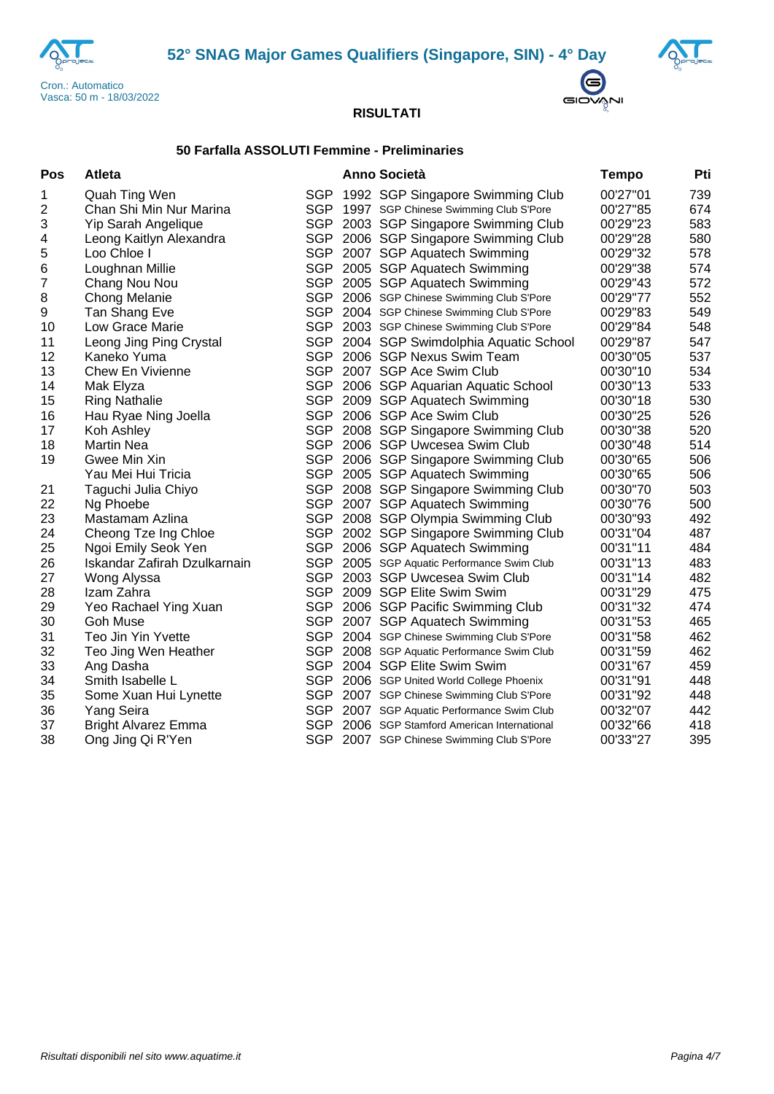





## **50 Farfalla ASSOLUTI Femmine - Preliminaries**

| Pos            | <b>Atleta</b>                |            | Anno Società                                 | <b>Tempo</b> | Pti |
|----------------|------------------------------|------------|----------------------------------------------|--------------|-----|
| 1              | Quah Ting Wen                | SGP        | 1992 SGP Singapore Swimming Club             | 00'27"01     | 739 |
| 2              | Chan Shi Min Nur Marina      |            | SGP 1997 SGP Chinese Swimming Club S'Pore    | 00'27"85     | 674 |
| 3              | Yip Sarah Angelique          |            | SGP 2003 SGP Singapore Swimming Club         | 00'29"23     | 583 |
| 4              | Leong Kaitlyn Alexandra      | SGP        | 2006 SGP Singapore Swimming Club             | 00'29"28     | 580 |
| 5              | Loo Chloe I                  |            | SGP 2007 SGP Aquatech Swimming               | 00'29"32     | 578 |
| 6              | Loughnan Millie              |            | SGP 2005 SGP Aquatech Swimming               | 00'29"38     | 574 |
| $\overline{7}$ | Chang Nou Nou                |            | SGP 2005 SGP Aquatech Swimming               | 00'29"43     | 572 |
| 8              | Chong Melanie                |            | SGP 2006 SGP Chinese Swimming Club S'Pore    | 00'29"77     | 552 |
| 9              | Tan Shang Eve                |            | SGP 2004 SGP Chinese Swimming Club S'Pore    | 00'29"83     | 549 |
| 10             | Low Grace Marie              | <b>SGP</b> | 2003 SGP Chinese Swimming Club S'Pore        | 00'29"84     | 548 |
| 11             | Leong Jing Ping Crystal      |            | SGP 2004 SGP Swimdolphia Aquatic School      | 00'29"87     | 547 |
| 12             | Kaneko Yuma                  |            | SGP 2006 SGP Nexus Swim Team                 | 00'30"05     | 537 |
| 13             | <b>Chew En Vivienne</b>      |            | SGP 2007 SGP Ace Swim Club                   | 00'30"10     | 534 |
| 14             | Mak Elyza                    |            | SGP 2006 SGP Aquarian Aquatic School         | 00'30"13     | 533 |
| 15             | <b>Ring Nathalie</b>         |            | SGP 2009 SGP Aquatech Swimming               | 00'30"18     | 530 |
| 16             | Hau Ryae Ning Joella         |            | SGP 2006 SGP Ace Swim Club                   | 00'30"25     | 526 |
| 17             | Koh Ashley                   |            | SGP 2008 SGP Singapore Swimming Club         | 00'30"38     | 520 |
| 18             | Martin Nea                   |            | SGP 2006 SGP Uwcesea Swim Club               | 00'30"48     | 514 |
| 19             | Gwee Min Xin                 |            | SGP 2006 SGP Singapore Swimming Club         | 00'30"65     | 506 |
|                | Yau Mei Hui Tricia           | SGP        | 2005 SGP Aquatech Swimming                   | 00'30"65     | 506 |
| 21             | Taguchi Julia Chiyo          |            | SGP 2008 SGP Singapore Swimming Club         | 00'30"70     | 503 |
| 22             | Ng Phoebe                    |            | SGP 2007 SGP Aquatech Swimming               | 00'30"76     | 500 |
| 23             | Mastamam Azlina              |            | SGP 2008 SGP Olympia Swimming Club           | 00'30"93     | 492 |
| 24             | Cheong Tze Ing Chloe         |            | SGP 2002 SGP Singapore Swimming Club         | 00'31"04     | 487 |
| 25             | Ngoi Emily Seok Yen          |            | SGP 2006 SGP Aquatech Swimming               | 00'31"11     | 484 |
| 26             | Iskandar Zafirah Dzulkarnain |            | SGP 2005 SGP Aquatic Performance Swim Club   | 00'31"13     | 483 |
| 27             | Wong Alyssa                  |            | SGP 2003 SGP Uwcesea Swim Club               | 00'31"14     | 482 |
| 28             | Izam Zahra                   |            | SGP 2009 SGP Elite Swim Swim                 | 00'31"29     | 475 |
| 29             | Yeo Rachael Ying Xuan        | SGP        | 2006 SGP Pacific Swimming Club               | 00'31"32     | 474 |
| 30             | Goh Muse                     | <b>SGP</b> | 2007 SGP Aquatech Swimming                   | 00'31"53     | 465 |
| 31             | Teo Jin Yin Yvette           |            | SGP 2004 SGP Chinese Swimming Club S'Pore    | 00'31"58     | 462 |
| 32             | Teo Jing Wen Heather         |            | SGP 2008 SGP Aquatic Performance Swim Club   | 00'31"59     | 462 |
| 33             | Ang Dasha                    |            | SGP 2004 SGP Elite Swim Swim                 | 00'31"67     | 459 |
| 34             | Smith Isabelle L             |            | SGP 2006 SGP United World College Phoenix    | 00'31"91     | 448 |
| 35             | Some Xuan Hui Lynette        |            | SGP 2007 SGP Chinese Swimming Club S'Pore    | 00'31"92     | 448 |
| 36             | Yang Seira                   |            | SGP 2007 SGP Aquatic Performance Swim Club   | 00'32"07     | 442 |
| 37             | <b>Bright Alvarez Emma</b>   |            | SGP 2006 SGP Stamford American International | 00'32"66     | 418 |
| 38             | Ong Jing Qi R'Yen            |            | SGP 2007 SGP Chinese Swimming Club S'Pore    | 00'33"27     | 395 |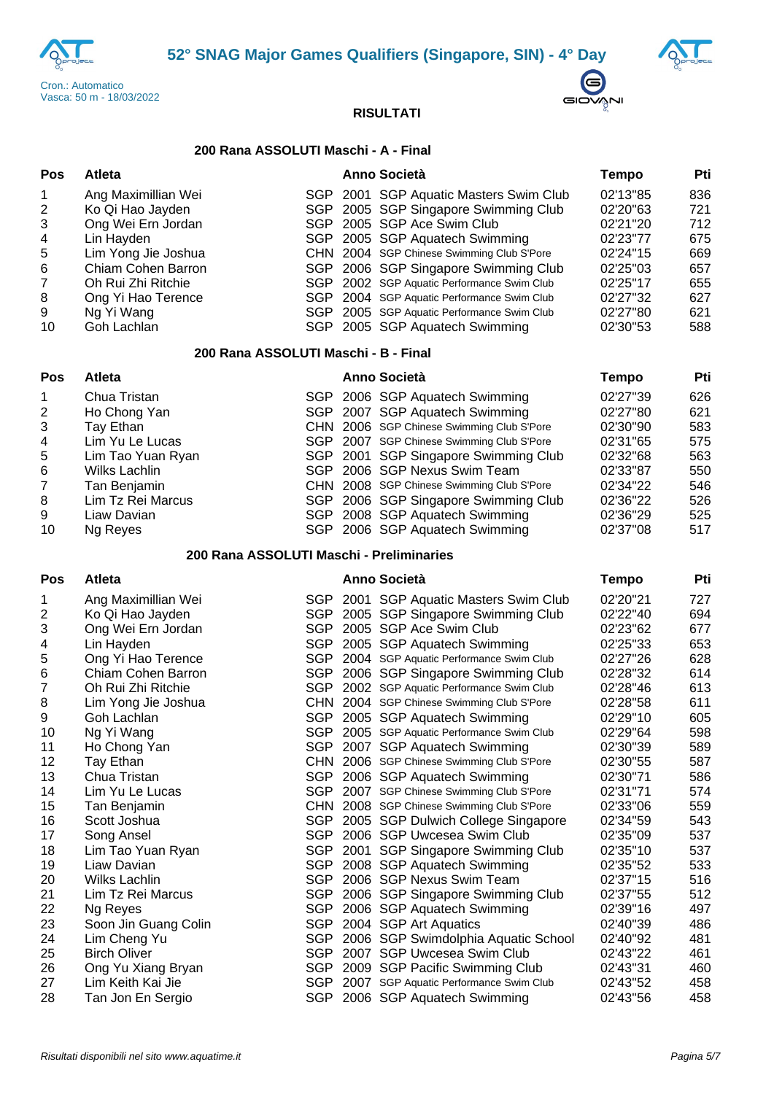





## **200 Rana ASSOLUTI Maschi - A - Final**

| Pos                                                          | <b>Atleta</b>                                                                                                                                                                                     |     | Anno Società                                                                                                                                                                                                                                                                                                                                                                                                    | <b>Tempo</b>                                                                                                         | Pti                                                                |
|--------------------------------------------------------------|---------------------------------------------------------------------------------------------------------------------------------------------------------------------------------------------------|-----|-----------------------------------------------------------------------------------------------------------------------------------------------------------------------------------------------------------------------------------------------------------------------------------------------------------------------------------------------------------------------------------------------------------------|----------------------------------------------------------------------------------------------------------------------|--------------------------------------------------------------------|
| 1<br>2<br>3<br>4<br>5<br>6<br>$\overline{7}$<br>8<br>9<br>10 | Ang Maximillian Wei<br>Ko Qi Hao Jayden<br>Ong Wei Ern Jordan<br>Lin Hayden<br>Lim Yong Jie Joshua<br>Chiam Cohen Barron<br>Oh Rui Zhi Ritchie<br>Ong Yi Hao Terence<br>Ng Yi Wang<br>Goh Lachlan |     | SGP 2001 SGP Aquatic Masters Swim Club<br>SGP 2005 SGP Singapore Swimming Club<br>SGP 2005 SGP Ace Swim Club<br>SGP 2005 SGP Aquatech Swimming<br>CHN 2004 SGP Chinese Swimming Club S'Pore<br>SGP 2006 SGP Singapore Swimming Club<br>SGP 2002 SGP Aquatic Performance Swim Club<br>SGP 2004 SGP Aquatic Performance Swim Club<br>SGP 2005 SGP Aquatic Performance Swim Club<br>SGP 2005 SGP Aquatech Swimming | 02'13"85<br>02'20"63<br>02'21"20<br>02'23"77<br>02'24"15<br>02'25"03<br>02'25"17<br>02'27"32<br>02'27"80<br>02'30"53 | 836<br>721<br>712<br>675<br>669<br>657<br>655<br>627<br>621<br>588 |
| Pos                                                          | 200 Rana ASSOLUTI Maschi - B - Final<br>Atleta                                                                                                                                                    |     | <b>Anno Società</b>                                                                                                                                                                                                                                                                                                                                                                                             | <b>Tempo</b>                                                                                                         | Pti                                                                |
| 1<br>2<br>3<br>4<br>5<br>6<br>$\overline{7}$<br>8<br>9<br>10 | Chua Tristan<br>Ho Chong Yan<br>Tay Ethan<br>Lim Yu Le Lucas<br>Lim Tao Yuan Ryan<br>Wilks Lachlin<br>Tan Benjamin<br>Lim Tz Rei Marcus<br>Liaw Davian<br>Ng Reyes                                |     | SGP 2006 SGP Aquatech Swimming<br>SGP 2007 SGP Aquatech Swimming<br>CHN 2006 SGP Chinese Swimming Club S'Pore<br>SGP 2007 SGP Chinese Swimming Club S'Pore<br>SGP 2001 SGP Singapore Swimming Club<br>SGP 2006 SGP Nexus Swim Team<br>CHN 2008 SGP Chinese Swimming Club S'Pore<br>SGP 2006 SGP Singapore Swimming Club<br>SGP 2008 SGP Aquatech Swimming<br>SGP 2006 SGP Aquatech Swimming                     | 02'27"39<br>02'27"80<br>02'30"90<br>02'31"65<br>02'32"68<br>02'33"87<br>02'34"22<br>02'36"22<br>02'36"29<br>02'37"08 | 626<br>621<br>583<br>575<br>563<br>550<br>546<br>526<br>525<br>517 |
|                                                              | 200 Rana ASSOLUTI Maschi - Preliminaries                                                                                                                                                          |     |                                                                                                                                                                                                                                                                                                                                                                                                                 |                                                                                                                      |                                                                    |
| Pos                                                          | <b>Atleta</b>                                                                                                                                                                                     |     | <b>Anno Società</b>                                                                                                                                                                                                                                                                                                                                                                                             | <b>Tempo</b>                                                                                                         | Pti                                                                |
| 1<br>2<br>3<br>4<br>5<br>6<br>7<br>8                         | Ang Maximillian Wei<br>Ko Qi Hao Jayden<br>Ong Wei Ern Jordan<br>Lin Hayden<br>Ong Yi Hao Terence<br>Chiam Cohen Barron<br>Oh Rui Zhi Ritchie<br>Lim Yong Jie Joshua                              |     | SGP 2001 SGP Aquatic Masters Swim Club<br>SGP 2005 SGP Singapore Swimming Club<br>SGP 2005 SGP Ace Swim Club<br>SGP 2005 SGP Aquatech Swimming<br>SGP 2004 SGP Aquatic Performance Swim Club<br>SGP 2006 SGP Singapore Swimming Club<br>SGP 2002 SGP Aquatic Performance Swim Club<br>CHN 2004 SGP Chinese Swimming Club S'Pore                                                                                 | 02'20"21<br>02'22"40<br>02'23"62<br>02'25"33<br>02'27"26<br>02'28"32<br>02'28"46<br>02'28"58                         | 727<br>694<br>677<br>653<br>628<br>614<br>613<br>611               |
| 9<br>10<br>11<br>12<br>13<br>14<br>15                        | Goh Lachlan<br>Ng Yi Wang<br>Ho Chong Yan<br>Tay Ethan<br>Chua Tristan<br>Lim Yu Le Lucas<br>Tan Benjamin                                                                                         | SGP | SGP 2005 SGP Aquatech Swimming<br>2005 SGP Aquatic Performance Swim Club<br>SGP 2007 SGP Aquatech Swimming<br>CHN 2006 SGP Chinese Swimming Club S'Pore<br>SGP 2006 SGP Aquatech Swimming<br>SGP 2007 SGP Chinese Swimming Club S'Pore<br>CHN 2008 SGP Chinese Swimming Club S'Pore                                                                                                                             | 02'29"10<br>02'29"64<br>02'30"39<br>02'30"55<br>02'30"71<br>02'31"71<br>02'33"06                                     | 605<br>598<br>589<br>587<br>586<br>574<br>559                      |
| 16<br>17<br>18<br>19<br>20                                   | Scott Joshua<br>Song Ansel<br>Lim Tao Yuan Ryan<br>Liaw Davian<br><b>Wilks Lachlin</b>                                                                                                            |     | SGP 2005 SGP Dulwich College Singapore<br>SGP 2006 SGP Uwcesea Swim Club<br>SGP 2001 SGP Singapore Swimming Club<br>SGP 2008 SGP Aquatech Swimming<br>SGP 2006 SGP Nexus Swim Team                                                                                                                                                                                                                              | 02'34"59<br>02'35"09<br>02'35"10<br>02'35"52<br>02'37"15                                                             | 543<br>537<br>537<br>533<br>516                                    |
| 21<br>22<br>23<br>24<br>25<br>26                             | Lim Tz Rei Marcus<br>Ng Reyes<br>Soon Jin Guang Colin<br>Lim Cheng Yu<br><b>Birch Oliver</b><br>Ong Yu Xiang Bryan                                                                                |     | SGP 2006 SGP Singapore Swimming Club<br>SGP 2006 SGP Aquatech Swimming<br>SGP 2004 SGP Art Aquatics<br>SGP 2006 SGP Swimdolphia Aquatic School<br>SGP 2007 SGP Uwcesea Swim Club<br>SGP 2009 SGP Pacific Swimming Club                                                                                                                                                                                          | 02'37"55<br>02'39"16<br>02'40"39<br>02'40"92<br>02'43"22<br>02'43"31                                                 | 512<br>497<br>486<br>481<br>461<br>460                             |
| 27<br>28                                                     | Lim Keith Kai Jie<br>Tan Jon En Sergio                                                                                                                                                            |     | SGP 2007 SGP Aquatic Performance Swim Club<br>SGP 2006 SGP Aquatech Swimming                                                                                                                                                                                                                                                                                                                                    | 02'43"52<br>02'43"56                                                                                                 | 458<br>458                                                         |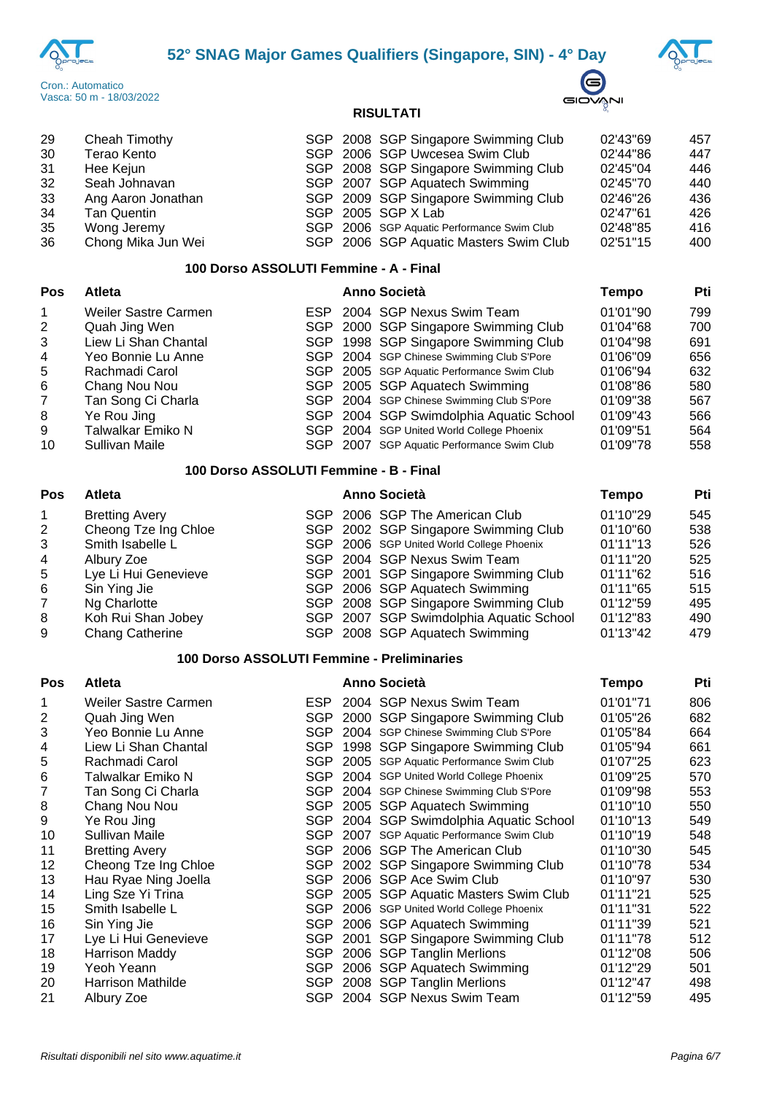





| Pos | <b>Atleta</b>                          |  | <b>Anno Società</b>                        | <b>Tempo</b> | Pti |
|-----|----------------------------------------|--|--------------------------------------------|--------------|-----|
|     | 100 Dorso ASSOLUTI Femmine - A - Final |  |                                            |              |     |
| 36  | Chong Mika Jun Wei                     |  | SGP 2006 SGP Aquatic Masters Swim Club     | 02'51"15     | 400 |
| 35  | Wong Jeremy                            |  | SGP 2006 SGP Aquatic Performance Swim Club | 02'48"85     | 416 |
| 34  | <b>Tan Quentin</b>                     |  | SGP 2005 SGP X Lab                         | 02'47"61     | 426 |
| 33  | Ang Aaron Jonathan                     |  | SGP 2009 SGP Singapore Swimming Club       | 02'46"26     | 436 |
| 32  | Seah Johnavan                          |  | SGP 2007 SGP Aquatech Swimming             | 02'45"70     | 440 |
| -31 | Hee Kejun                              |  | SGP 2008 SGP Singapore Swimming Club       | 02'45"04     | 446 |
| -30 | Terao Kento                            |  | SGP 2006 SGP Uwcesea Swim Club             | 02'44"86     | 447 |
| -29 | Cheah Timothy                          |  | SGP 2008 SGP Singapore Swimming Club       | 02'43"69     | 457 |

| , və                 | анси                 |  |  | AIIIIV VULIGIA                             | I GHIPO  | . . |
|----------------------|----------------------|--|--|--------------------------------------------|----------|-----|
| $\blacktriangleleft$ | Weiler Sastre Carmen |  |  | ESP 2004 SGP Nexus Swim Team               | 01'01"90 | 799 |
| $\overline{2}$       | Quah Jing Wen        |  |  | SGP 2000 SGP Singapore Swimming Club       | 01'04"68 | 700 |
| 3                    | Liew Li Shan Chantal |  |  | SGP 1998 SGP Singapore Swimming Club       | 01'04"98 | 691 |
| $\overline{4}$       | Yeo Bonnie Lu Anne   |  |  | SGP 2004 SGP Chinese Swimming Club S'Pore  | 01'06"09 | 656 |
| 5                    | Rachmadi Carol       |  |  | SGP 2005 SGP Aquatic Performance Swim Club | 01'06"94 | 632 |
| -6                   | Chang Nou Nou        |  |  | SGP 2005 SGP Aquatech Swimming             | 01'08"86 | 580 |
| 7                    | Tan Song Ci Charla   |  |  | SGP 2004 SGP Chinese Swimming Club S'Pore  | 01'09"38 | 567 |
| 8                    | Ye Rou Jing          |  |  | SGP 2004 SGP Swimdolphia Aquatic School    | 01'09"43 | 566 |
| 9                    | Talwalkar Emiko N    |  |  | SGP 2004 SGP United World College Phoenix  | 01'09"51 | 564 |
| 10                   | Sullivan Maile       |  |  | SGP 2007 SGP Aquatic Performance Swim Club | 01'09"78 | 558 |

### **100 Dorso ASSOLUTI Femmine - B - Final**

| Pos            | <b>Atleta</b>          | <b>Anno Società</b> |                                           | Tempo    | Pti |  |
|----------------|------------------------|---------------------|-------------------------------------------|----------|-----|--|
| $\mathbf{1}$   | <b>Bretting Avery</b>  |                     | SGP 2006 SGP The American Club            | 01'10"29 | 545 |  |
| 2              | Cheong Tze Ing Chloe   |                     | SGP 2002 SGP Singapore Swimming Club      | 01'10"60 | 538 |  |
| 3              | Smith Isabelle L       |                     | SGP 2006 SGP United World College Phoenix | 01'11"13 | 526 |  |
| 4              | Albury Zoe             |                     | SGP 2004 SGP Nexus Swim Team              | 01'11"20 | 525 |  |
| 5              | Lye Li Hui Genevieve   |                     | SGP 2001 SGP Singapore Swimming Club      | 01'11"62 | 516 |  |
| 6              | Sin Ying Jie           |                     | SGP 2006 SGP Aquatech Swimming            | 01'11"65 | 515 |  |
| $\overline{7}$ | Ng Charlotte           |                     | SGP 2008 SGP Singapore Swimming Club      | 01'12"59 | 495 |  |
| 8              | Koh Rui Shan Jobey     |                     | SGP 2007 SGP Swimdolphia Aquatic School   | 01'12"83 | 490 |  |
| 9              | <b>Chang Catherine</b> |                     | SGP 2008 SGP Aquatech Swimming            | 01'13"42 | 479 |  |

## **100 Dorso ASSOLUTI Femmine - Preliminaries**

| <b>Pos</b> | <b>Atleta</b>            |            | <b>Anno Società</b>                    | Tempo    | Pti |
|------------|--------------------------|------------|----------------------------------------|----------|-----|
| 1          | Weiler Sastre Carmen     | ESP.       | 2004 SGP Nexus Swim Team               | 01'01"71 | 806 |
| 2          | Quah Jing Wen            | <b>SGP</b> | 2000 SGP Singapore Swimming Club       | 01'05"26 | 682 |
| 3          | Yeo Bonnie Lu Anne       | SGP.       | 2004 SGP Chinese Swimming Club S'Pore  | 01'05"84 | 664 |
| 4          | Liew Li Shan Chantal     | <b>SGP</b> | 1998 SGP Singapore Swimming Club       | 01'05"94 | 661 |
| 5          | Rachmadi Carol           | SGP.       | 2005 SGP Aquatic Performance Swim Club | 01'07"25 | 623 |
| 6          | Talwalkar Emiko N        | SGP        | 2004 SGP United World College Phoenix  | 01'09"25 | 570 |
| 7          | Tan Song Ci Charla       | SGP.       | 2004 SGP Chinese Swimming Club S'Pore  | 01'09"98 | 553 |
| 8          | Chang Nou Nou            | SGP.       | 2005 SGP Aquatech Swimming             | 01'10"10 | 550 |
| 9          | Ye Rou Jing              | <b>SGP</b> | 2004 SGP Swimdolphia Aquatic School    | 01'10"13 | 549 |
| 10         | Sullivan Maile           | SGP.       | 2007 SGP Aquatic Performance Swim Club | 01'10"19 | 548 |
| 11         | <b>Bretting Avery</b>    | SGP.       | 2006 SGP The American Club             | 01'10"30 | 545 |
| 12         | Cheong Tze Ing Chloe     | <b>SGP</b> | 2002 SGP Singapore Swimming Club       | 01'10"78 | 534 |
| 13         | Hau Ryae Ning Joella     | SGP        | 2006 SGP Ace Swim Club                 | 01'10"97 | 530 |
| 14         | Ling Sze Yi Trina        | SGP.       | 2005 SGP Aquatic Masters Swim Club     | 01'11"21 | 525 |
| 15         | Smith Isabelle L         | <b>SGP</b> | 2006 SGP United World College Phoenix  | 01'11"31 | 522 |
| 16         | Sin Ying Jie             | <b>SGP</b> | 2006 SGP Aquatech Swimming             | 01'11"39 | 521 |
| 17         | Lye Li Hui Genevieve     | SGP.       | 2001 SGP Singapore Swimming Club       | 01'11"78 | 512 |
| 18         | <b>Harrison Maddy</b>    | <b>SGP</b> | 2006 SGP Tanglin Merlions              | 01'12"08 | 506 |
| 19         | Yeoh Yeann               | <b>SGP</b> | 2006 SGP Aquatech Swimming             | 01'12"29 | 501 |
| 20         | <b>Harrison Mathilde</b> | SGP        | 2008 SGP Tanglin Merlions              | 01'12"47 | 498 |
| 21         | Albury Zoe               | <b>SGP</b> | 2004 SGP Nexus Swim Team               | 01'12"59 | 495 |